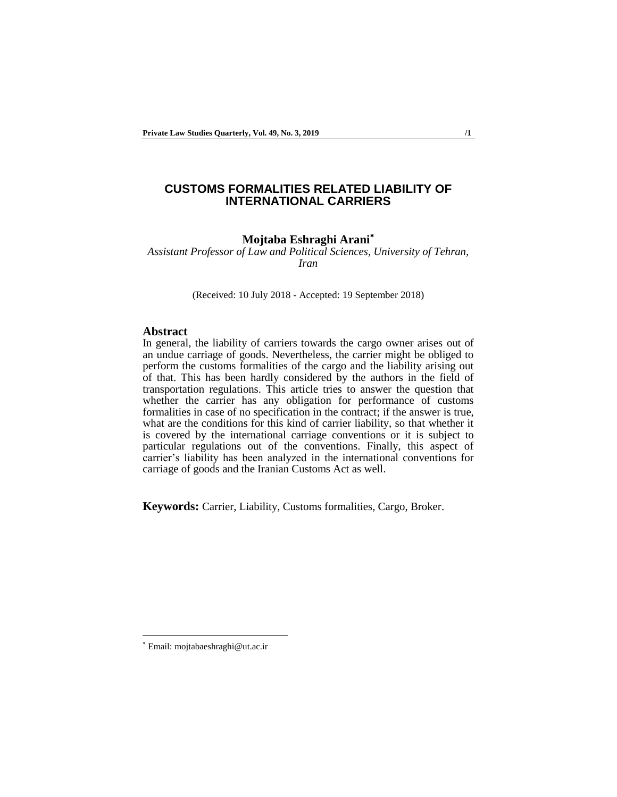# **CUSTOMS FORMALITIES RELATED LIABILITY OF INTERNATIONAL CARRIERS**

# **Mojtaba Eshraghi Arani**

*Assistant Professor of Law and Political Sciences, University of Tehran, Iran*

(Received: 10 July 2018 - Accepted: 19 September 2018)

#### **Abstract**

In general, the liability of carriers towards the cargo owner arises out of an undue carriage of goods. Nevertheless, the carrier might be obliged to perform the customs formalities of the cargo and the liability arising out of that. This has been hardly considered by the authors in the field of transportation regulations. This article tries to answer the question that whether the carrier has any obligation for performance of customs formalities in case of no specification in the contract; if the answer is true, what are the conditions for this kind of carrier liability, so that whether it is covered by the international carriage conventions or it is subject to particular regulations out of the conventions. Finally, this aspect of carrier's liability has been analyzed in the international conventions for carriage of goods and the Iranian Customs Act as well.

**Keywords:** Carrier, Liability, Customs formalities, Cargo, Broker.

Email: mojtabaeshraghi@ut.ac.ir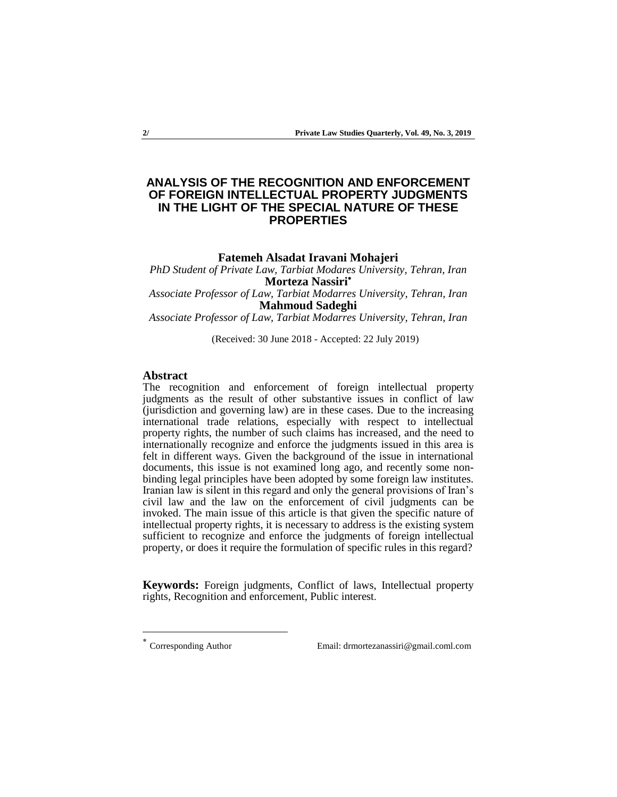# **ANALYSIS OF THE RECOGNITION AND ENFORCEMENT OF FOREIGN INTELLECTUAL PROPERTY JUDGMENTS IN THE LIGHT OF THE SPECIAL NATURE OF THESE PROPERTIES**

### **Fatemeh Alsadat Iravani Mohajeri**

*PhD Student of Private Law, Tarbiat Modares University, Tehran, Iran*  **Morteza Nassiri**

*Associate Professor of Law, Tarbiat Modarres University, Tehran, Iran* **Mahmoud Sadeghi**

*Associate Professor of Law, Tarbiat Modarres University, Tehran, Iran*

(Received: 30 June 2018 - Accepted: 22 July 2019)

### **Abstract**

The recognition and enforcement of foreign intellectual property judgments as the result of other substantive issues in conflict of law (jurisdiction and governing law) are in these cases. Due to the increasing international trade relations, especially with respect to intellectual property rights, the number of such claims has increased, and the need to internationally recognize and enforce the judgments issued in this area is felt in different ways. Given the background of the issue in international documents, this issue is not examined long ago, and recently some nonbinding legal principles have been adopted by some foreign law institutes. Iranian law is silent in this regard and only the general provisions of Iran's civil law and the law on the enforcement of civil judgments can be invoked. The main issue of this article is that given the specific nature of intellectual property rights, it is necessary to address is the existing system sufficient to recognize and enforce the judgments of foreign intellectual property, or does it require the formulation of specific rules in this regard?

**Keywords:** Foreign judgments, Conflict of laws, Intellectual property rights, Recognition and enforcement, Public interest.

-

Corresponding Author Email: drmortezanassiri@gmail.coml.com

<sup>\*</sup>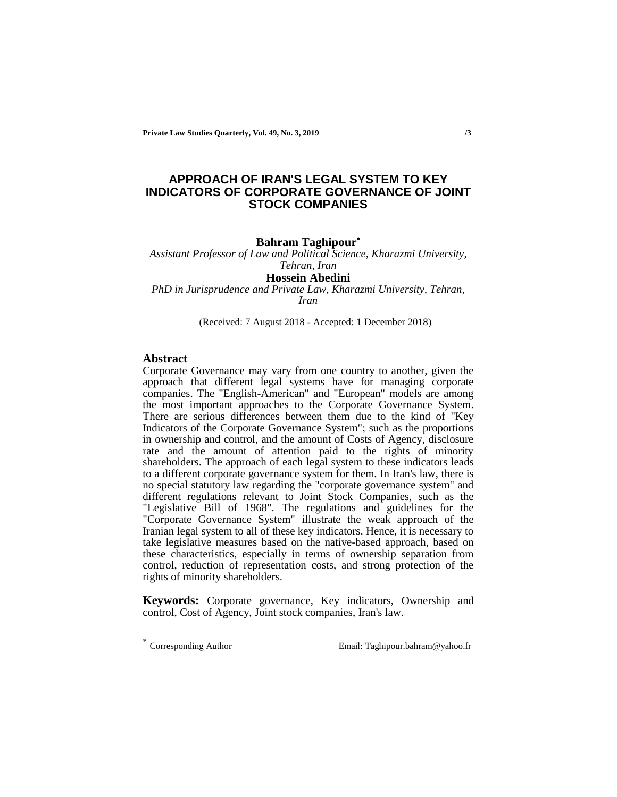# **APPROACH OF IRAN'S LEGAL SYSTEM TO KEY INDICATORS OF CORPORATE GOVERNANCE OF JOINT STOCK COMPANIES**

#### **Bahram Taghipour**

*Assistant Professor of Law and Political Science, Kharazmi University, Tehran, Iran* 

**Hossein Abedini**

*PhD in Jurisprudence and Private Law, Kharazmi University, Tehran, Iran*

(Received: 7 August 2018 - Accepted: 1 December 2018)

### **Abstract**

Corporate Governance may vary from one country to another, given the approach that different legal systems have for managing corporate companies. The "English-American" and "European" models are among the most important approaches to the Corporate Governance System. There are serious differences between them due to the kind of "Key Indicators of the Corporate Governance System"; such as the proportions in ownership and control, and the amount of Costs of Agency, disclosure rate and the amount of attention paid to the rights of minority shareholders. The approach of each legal system to these indicators leads to a different corporate governance system for them. In Iran's law, there is no special statutory law regarding the "corporate governance system" and different regulations relevant to Joint Stock Companies, such as the "Legislative Bill of 1968". The regulations and guidelines for the "Corporate Governance System" illustrate the weak approach of the Iranian legal system to all of these key indicators. Hence, it is necessary to take legislative measures based on the native-based approach, based on these characteristics, especially in terms of ownership separation from control, reduction of representation costs, and strong protection of the rights of minority shareholders.

**Keywords:** Corporate governance, Key indicators, Ownership and control, Cost of Agency, Joint stock companies, Iran's law.

-

Corresponding Author Email: Taghipour.bahram@yahoo.fr

<sup>\*</sup>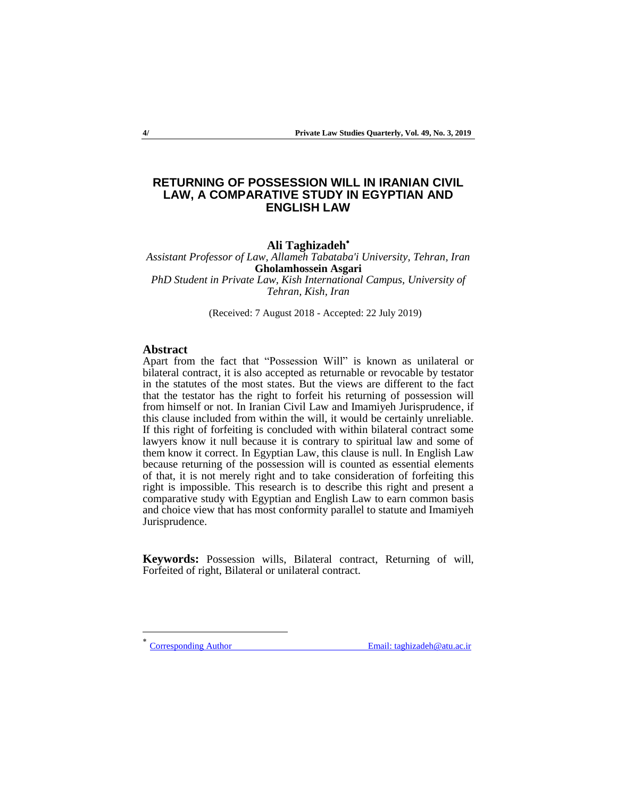# **RETURNING OF POSSESSION WILL IN IRANIAN CIVIL LAW, A COMPARATIVE STUDY IN EGYPTIAN AND ENGLISH LAW**

# **Ali Taghizadeh**

*Assistant Professor of Law, Allameh Tabataba'i University, Tehran, Iran*  **Gholamhossein Asgari** *PhD Student in Private Law, Kish International Campus, University of* 

*Tehran, Kish, Iran* 

(Received: 7 August 2018 - Accepted: 22 July 2019)

### **Abstract**

Apart from the fact that "Possession Will" is known as unilateral or bilateral contract, it is also accepted as returnable or revocable by testator in the statutes of the most states. But the views are different to the fact that the testator has the right to forfeit his returning of possession will from himself or not. In Iranian Civil Law and Imamiyeh Jurisprudence, if this clause included from within the will, it would be certainly unreliable. If this right of forfeiting is concluded with within bilateral contract some lawyers know it null because it is contrary to spiritual law and some of them know it correct. In Egyptian Law, this clause is null. In English Law because returning of the possession will is counted as essential elements of that, it is not merely right and to take consideration of forfeiting this right is impossible. This research is to describe this right and present a comparative study with Egyptian and English Law to earn common basis and choice view that has most conformity parallel to statute and Imamiyeh Jurisprudence.

**Keywords:** Possession wills, Bilateral contract, Returning of will, Forfeited of right, Bilateral or unilateral contract.

\*

-

Corresponding Author Email: taghizadeh@atu.ac.ir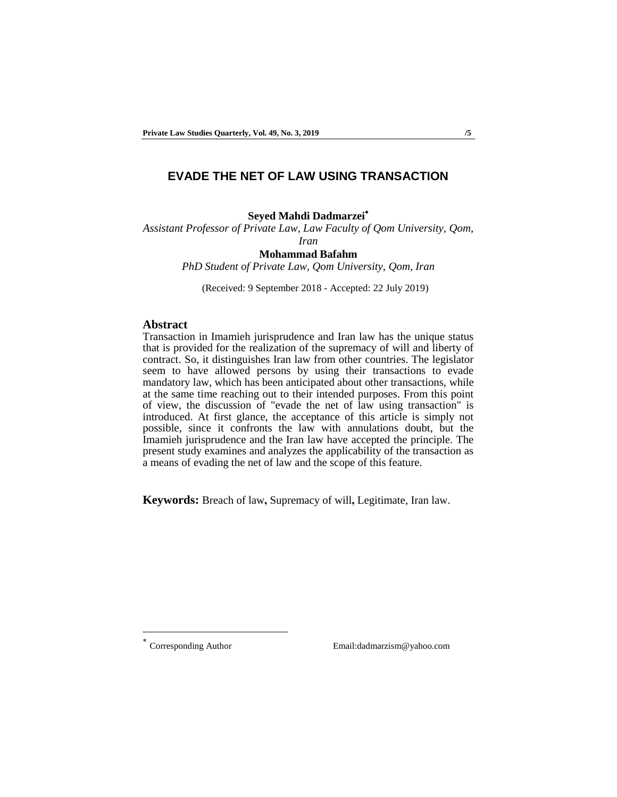### **EVADE THE NET OF LAW USING TRANSACTION**

### **Seyed Mahdi Dadmarzei**

*Assistant Professor of Private Law, Law Faculty of Qom University, Qom,* 

*Iran*

#### **Mohammad Bafahm**

*PhD Student of Private Law, Qom University, Qom, Iran*

(Received: 9 September 2018 - Accepted: 22 July 2019)

# **Abstract**

Transaction in Imamieh jurisprudence and Iran law has the unique status that is provided for the realization of the supremacy of will and liberty of contract. So, it distinguishes Iran law from other countries. The legislator seem to have allowed persons by using their transactions to evade mandatory law, which has been anticipated about other transactions, while at the same time reaching out to their intended purposes. From this point of view, the discussion of "evade the net of law using transaction" is introduced. At first glance, the acceptance of this article is simply not possible, since it confronts the law with annulations doubt, but the Imamieh jurisprudence and the Iran law have accepted the principle. The present study examines and analyzes the applicability of the transaction as a means of evading the net of law and the scope of this feature.

**Keywords:** Breach of law**,** Supremacy of will**,** Legitimate, Iran law.

\*

-

Corresponding Author Email:dadmarzism@yahoo.com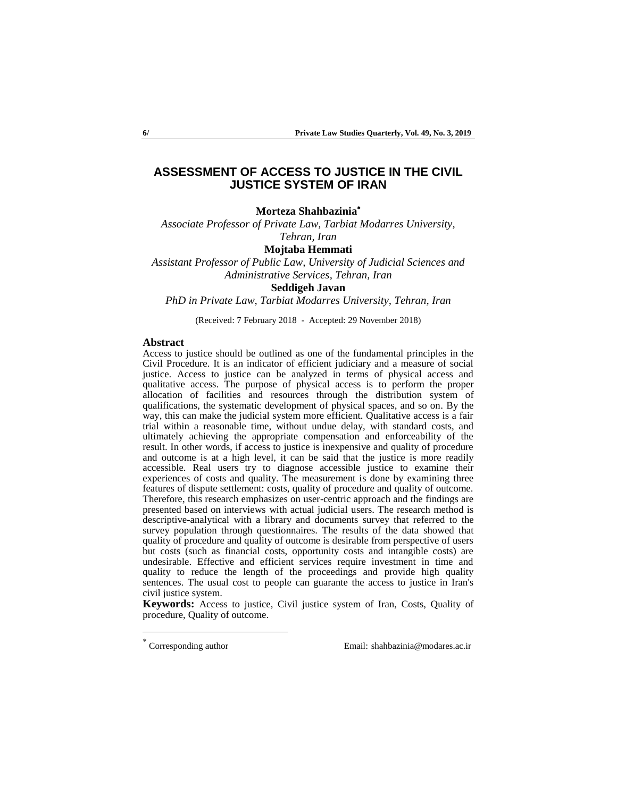# **ASSESSMENT OF ACCESS TO JUSTICE IN THE CIVIL JUSTICE SYSTEM OF IRAN**

**Morteza Shahbazinia**

*Associate Professor of Private Law, Tarbiat Modarres University, Tehran, Iran*

**Mojtaba Hemmati**

*Assistant Professor of Public Law, University of Judicial Sciences and Administrative Services, Tehran, Iran*

#### **Seddigeh Javan**

*PhD in Private Law, Tarbiat Modarres University, Tehran, Iran*

(Received: 7 February 2018 - Accepted: 29 November 2018)

#### **Abstract**

Access to justice should be outlined as one of the fundamental principles in the Civil Procedure. It is an indicator of efficient judiciary and a measure of social justice. Access to justice can be analyzed in terms of physical access and qualitative access. The purpose of physical access is to perform the proper allocation of facilities and resources through the distribution system of qualifications, the systematic development of physical spaces, and so on. By the way, this can make the judicial system more efficient. Qualitative access is a fair trial within a reasonable time, without undue delay, with standard costs, and ultimately achieving the appropriate compensation and enforceability of the result. In other words, if access to justice is inexpensive and quality of procedure and outcome is at a high level, it can be said that the justice is more readily accessible. Real users try to diagnose accessible justice to examine their experiences of costs and quality. The measurement is done by examining three features of dispute settlement: costs, quality of procedure and quality of outcome. Therefore, this research emphasizes on user-centric approach and the findings are presented based on interviews with actual judicial users. The research method is descriptive-analytical with a library and documents survey that referred to the survey population through questionnaires. The results of the data showed that quality of procedure and quality of outcome is desirable from perspective of users but costs (such as financial costs, opportunity costs and intangible costs) are undesirable. Effective and efficient services require investment in time and quality to reduce the length of the proceedings and provide high quality sentences. The usual cost to people can guarante the access to justice in Iran's civil justice system.

**Keywords:** Access to justice, Civil justice system of Iran, Costs, Quality of procedure, Quality of outcome.

-

Corresponding author Email: shahbazinia@modares.ac.ir

<sup>\*</sup>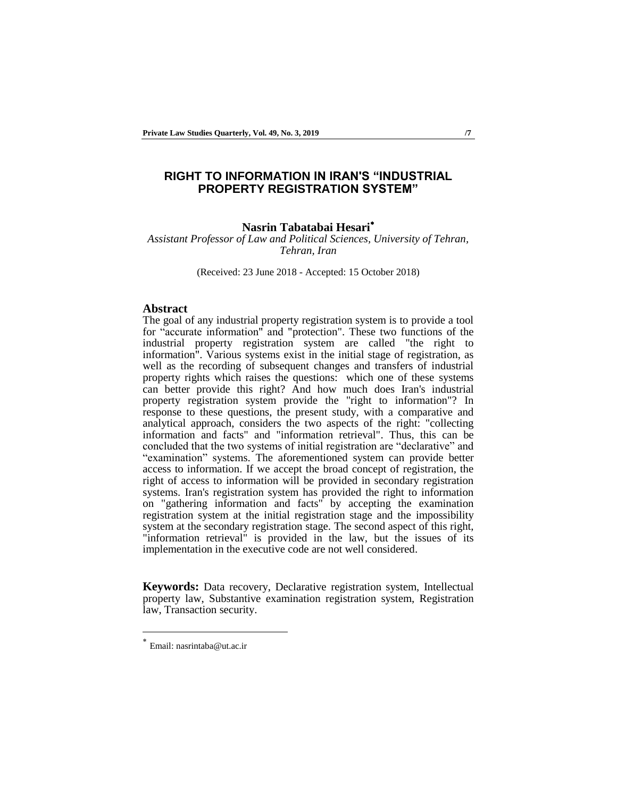# **RIGHT TO INFORMATION IN IRAN'S "INDUSTRIAL PROPERTY REGISTRATION SYSTEM"**

### **Nasrin Tabatabai Hesari**

*Assistant Professor of Law and Political Sciences, University of Tehran, Tehran, Iran*

(Received: 23 June 2018 - Accepted: 15 October 2018)

#### **Abstract**

The goal of any industrial property registration system is to provide a tool for "accurate information" and "protection". These two functions of the industrial property registration system are called "the right to information". Various systems exist in the initial stage of registration, as well as the recording of subsequent changes and transfers of industrial property rights which raises the questions: which one of these systems can better provide this right? And how much does Iran's industrial property registration system provide the "right to information"? In response to these questions, the present study, with a comparative and analytical approach, considers the two aspects of the right: "collecting information and facts" and "information retrieval". Thus, this can be concluded that the two systems of initial registration are "declarative" and "examination" systems. The aforementioned system can provide better access to information. If we accept the broad concept of registration, the right of access to information will be provided in secondary registration systems. Iran's registration system has provided the right to information on "gathering information and facts" by accepting the examination registration system at the initial registration stage and the impossibility system at the secondary registration stage. The second aspect of this right, "information retrieval" is provided in the law, but the issues of its implementation in the executive code are not well considered.

**Keywords:** Data recovery, Declarative registration system, Intellectual property law, Substantive examination registration system, Registration law, Transaction security.

<sup>\*</sup> Email: nasrintaba@ut.ac.ir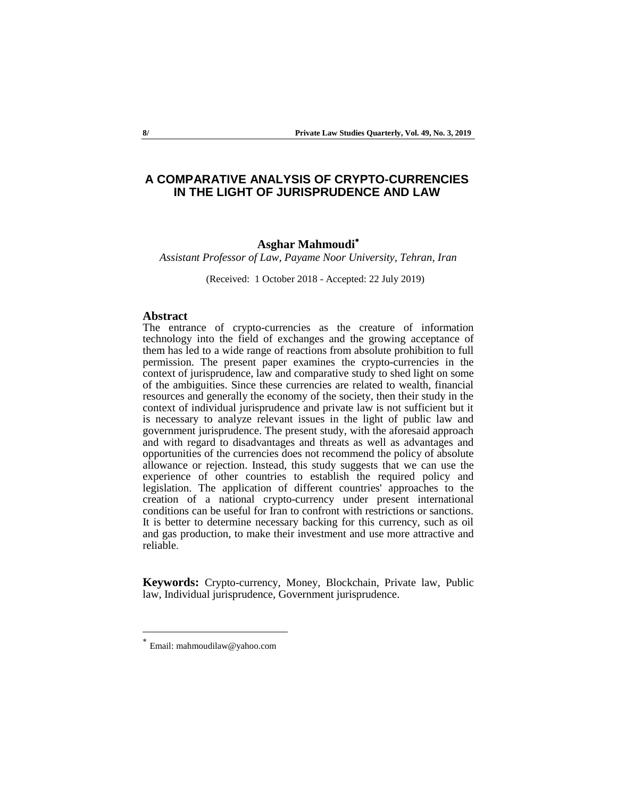# **A COMPARATIVE ANALYSIS OF CRYPTO-CURRENCIES IN THE LIGHT OF JURISPRUDENCE AND LAW**

# **Asghar Mahmoudi**

*Assistant Professor of Law, Payame Noor University, Tehran, Iran*

(Received: 1 October 2018 - Accepted: 22 July 2019)

#### **Abstract**

The entrance of crypto-currencies as the creature of information technology into the field of exchanges and the growing acceptance of them has led to a wide range of reactions from absolute prohibition to full permission. The present paper examines the crypto-currencies in the context of jurisprudence, law and comparative study to shed light on some of the ambiguities. Since these currencies are related to wealth, financial resources and generally the economy of the society, then their study in the context of individual jurisprudence and private law is not sufficient but it is necessary to analyze relevant issues in the light of public law and government jurisprudence. The present study, with the aforesaid approach and with regard to disadvantages and threats as well as advantages and opportunities of the currencies does not recommend the policy of absolute allowance or rejection. Instead, this study suggests that we can use the experience of other countries to establish the required policy and legislation. The application of different countries' approaches to the creation of a national crypto-currency under present international conditions can be useful for Iran to confront with restrictions or sanctions. It is better to determine necessary backing for this currency, such as oil and gas production, to make their investment and use more attractive and reliable.

**Keywords:** Crypto-currency, Money, Blockchain, Private law, Public law, Individual jurisprudence, Government jurisprudence.

<sup>\*</sup> Email: mahmoudilaw@yahoo.com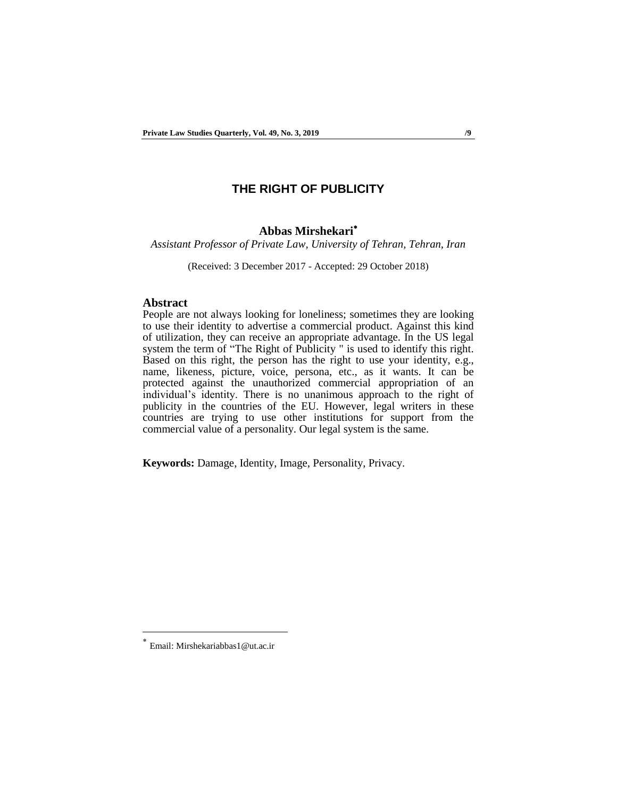# **THE RIGHT OF PUBLICITY**

### **Abbas Mirshekari**

*Assistant Professor of Private Law, University of Tehran, Tehran, Iran*

(Received: 3 December 2017 - Accepted: 29 October 2018)

#### **Abstract**

People are not always looking for loneliness; sometimes they are looking to use their identity to advertise a commercial product. Against this kind of utilization, they can receive an appropriate advantage. In the US legal system the term of "The Right of Publicity " is used to identify this right. Based on this right, the person has the right to use your identity, e.g., name, likeness, picture, voice, persona, etc., as it wants. It can be protected against the unauthorized commercial appropriation of an individual's identity. There is no unanimous approach to the right of publicity in the countries of the EU. However, legal writers in these countries are trying to use other institutions for support from the commercial value of a personality. Our legal system is the same.

**Keywords:** Damage, Identity, Image, Personality, Privacy.

<sup>\*</sup> Email: Mirshekariabbas1@ut.ac.ir